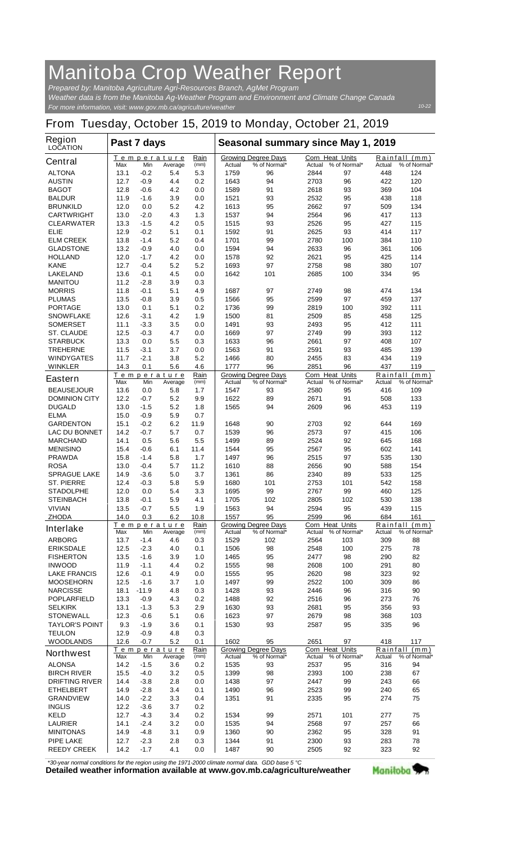## **Manitoba Crop Weather Report**

*For more information, visit: www.gov.mb.ca/agriculture/weather Prepared by: Manitoba Agriculture Agri-Resources Branch, AgMet Program Weather data is from the Manitoba Ag-Weather Program and Environment and Climate Change Canada*

## **From Tuesday, October 15, 2019 to Monday, October 21, 2019**

| <b>Region</b><br><b>LOCATION</b>         | Past 7 days  |                |                               |              | Seasonal summary since May 1, 2019 |                                            |                |                                        |               |                               |
|------------------------------------------|--------------|----------------|-------------------------------|--------------|------------------------------------|--------------------------------------------|----------------|----------------------------------------|---------------|-------------------------------|
| <b>Central</b>                           | Max          | Min            | <u>Temperature</u><br>Average | Rain<br>(mm) | Actual                             | <b>Growing Degree Days</b><br>% of Normal* | Actual         | <b>Corn Heat Units</b><br>% of Normal* | Actual        | Rainfall (mm)<br>% of Normal* |
| <b>ALTONA</b>                            | 13.1         | -0.2           | 5.4                           | 5.3          | 1759                               | 96                                         | 2844           | 97                                     | 448           | 124                           |
| <b>AUSTIN</b>                            | 12.7         | -0.9           | 4.4                           | 0.2          | 1643                               | 94                                         | 2703           | 96                                     | 422           | 120                           |
| <b>BAGOT</b>                             | 12.8         | -0.6           | 4.2                           | 0.0          | 1589                               | 91                                         | 2618           | 93                                     | 369           | 104                           |
| <b>BALDUR</b>                            | 11.9         | -1.6           | 3.9                           | 0.0          | 1521                               | 93                                         | 2532           | 95                                     | 438           | 118                           |
| <b>BRUNKILD</b>                          | 12.0         | 0.0            | 5.2                           | 4.2          | 1613                               | 95                                         | 2662           | 97                                     | 509           | 134                           |
| <b>CARTWRIGHT</b>                        | 13.0         | $-2.0$         | 4.3                           | 1.3          | 1537                               | 94                                         | 2564           | 96                                     | 417           | 113                           |
| <b>CLEARWATER</b><br>ELIE                | 13.3         | -1.5           | 4.2<br>5.1                    | 0.5          | 1515                               | 93<br>91                                   | 2526           | 95                                     | 427           | 115<br>117                    |
| <b>ELM CREEK</b>                         | 12.9<br>13.8 | $-0.2$<br>-1.4 | 5.2                           | 0.1<br>0.4   | 1592<br>1701                       | 99                                         | 2625<br>2780   | 93<br>100                              | 414<br>384    | 110                           |
| <b>GLADSTONE</b>                         | 13.2         | -0.9           | 4.0                           | 0.0          | 1594                               | 94                                         | 2633           | 96                                     | 361           | 106                           |
| <b>HOLLAND</b>                           | 12.0         | $-1.7$         | 4.2                           | 0.0          | 1578                               | 92                                         | 2621           | 95                                     | 425           | 114                           |
| <b>KANE</b>                              | 12.7         | -0.4           | 5.2                           | 5.2          | 1693                               | 97                                         | 2758           | 98                                     | 380           | 107                           |
| <b>LAKELAND</b>                          | 13.6         | -0.1           | 4.5                           | 0.0          | 1642                               | 101                                        | 2685           | 100                                    | 334           | 95                            |
| <b>MANITOU</b>                           | 11.2         | -2.8           | 3.9                           | 0.3          |                                    |                                            |                |                                        |               |                               |
| <b>MORRIS</b>                            | 11.8         | -0.1           | 5.1                           | 4.9          | 1687                               | 97                                         | 2749           | 98                                     | 474           | 134                           |
| <b>PLUMAS</b>                            | 13.5         | -0.8           | 3.9                           | 0.5          | 1566                               | 95                                         | 2599           | 97                                     | 459           | 137                           |
| <b>PORTAGE</b>                           | 13.0         | 0.1            | 5.1                           | 0.2          | 1736                               | 99                                         | 2819           | 100                                    | 392           | 111                           |
| <b>SNOWFLAKE</b>                         | 12.6         | -3.1<br>$-3.3$ | 4.2<br>3.5                    | 1.9          | 1500<br>1491                       | 81<br>93                                   | 2509           | 85<br>95                               | 458<br>412    | 125<br>111                    |
| <b>SOMERSET</b><br><b>ST. CLAUDE</b>     | 11.1<br>12.5 | -0.3           | 4.7                           | 0.0<br>0.0   | 1669                               | 97                                         | 2493<br>2749   | 99                                     | 393           | 112                           |
| <b>STARBUCK</b>                          | 13.3         | 0.0            | 5.5                           | 0.3          | 1633                               | 96                                         | 2661           | 97                                     | 408           | 107                           |
| <b>TREHERNE</b>                          | 11.5         | -3.1           | 3.7                           | 0.0          | 1563                               | 91                                         | 2591           | 93                                     | 485           | 139                           |
| <b>WINDYGATES</b>                        | 11.7         | -2.1           | 3.8                           | 5.2          | 1466                               | 80                                         | 2455           | 83                                     | 434           | 119                           |
| <b>WINKLER</b>                           | 14.3         | 0.1            | 5.6                           | 4.6          | 1777                               | 96                                         | 2851           | 96                                     | 437           | 119                           |
| <b>Eastern</b>                           |              |                | Temperature                   | Rain         |                                    | <b>Growing Degree Days</b>                 |                | <b>Corn Heat Units</b>                 |               | Rainfall (mm)                 |
| <b>BEAUSEJOUR</b>                        | Max<br>13.6  | Min<br>0.0     | Average<br>5.8                | (mm)<br>1.7  | Actual<br>1547                     | % of Normal*<br>93                         | Actual<br>2580 | % of Normal*<br>95                     | Actual<br>416 | % of Normal*<br>109           |
| <b>DOMINION CITY</b>                     | 12.2         | -0.7           | 5.2                           | 9.9          | 1622                               | 89                                         | 2671           | 91                                     | 508           | 133                           |
| <b>DUGALD</b>                            | 13.0         | -1.5           | 5.2                           | 1.8          | 1565                               | 94                                         | 2609           | 96                                     | 453           | 119                           |
| <b>ELMA</b>                              | 15.0         | -0.9           | 5.9                           | 0.7          |                                    |                                            |                |                                        |               |                               |
| <b>GARDENTON</b>                         | 15.1         | -0.2           | 6.2                           | 11.9         | 1648                               | 90                                         | 2703           | 92                                     | 644           | 169                           |
| <b>LAC DU BONNET</b>                     | 14.2         | -0.7           | 5.7                           | 0.7          | 1539                               | 96                                         | 2573           | 97                                     | 415           | 106                           |
| <b>MARCHAND</b>                          | 14.1         | 0.5            | 5.6                           | 5.5          | 1499                               | 89                                         | 2524           | 92                                     | 645           | 168                           |
| <b>MENISINO</b>                          | 15.4         | -0.6           | 6.1                           | 11.4         | 1544                               | 95                                         | 2567           | 95                                     | 602           | 141                           |
| <b>PRAWDA</b>                            | 15.8         | $-1.4$         | 5.8                           | 1.7          | 1497                               | 96                                         | 2515           | 97                                     | 535           | 130                           |
| <b>ROSA</b>                              | 13.0         | -0.4           | 5.7                           | 11.2         | 1610                               | 88                                         | 2656           | 90                                     | 588           | 154                           |
| <b>SPRAGUE LAKE</b><br><b>ST. PIERRE</b> | 14.9<br>12.4 | -3.6<br>-0.3   | 5.0<br>5.8                    | 3.7<br>5.9   | 1361<br>1680                       | 86<br>101                                  | 2340<br>2753   | 89<br>101                              | 533<br>542    | 125<br>158                    |
| <b>STADOLPHE</b>                         | 12.0         | 0.0            | 5.4                           | 3.3          | 1695                               | 99                                         | 2767           | 99                                     | 460           | 125                           |
| <b>STEINBACH</b>                         | 13.8         | -0.1           | 5.9                           | 4.1          | 1705                               | 102                                        | 2805           | 102                                    | 530           | 138                           |
| <b>VIVIAN</b>                            | 13.5         | $-0.7$         | 5.5                           | 1.9          | 1563                               | 94                                         | 2594           | 95                                     | 439           | 115                           |
| <b>ZHODA</b>                             | 14.0         | 0.3            | 6.2                           | 10.8         | 1557                               | 95                                         | 2599           | 96                                     | 684           | 161                           |
| <b>Interlake</b>                         |              |                | Temperature                   | Rain         |                                    | <b>Growing Degree Days</b>                 |                | Corn Heat Units                        |               | Rainfall (mm)                 |
| <b>ARBORG</b>                            | Max<br>13.7  | Min<br>-1.4    | Average<br>4.6                | (mm)<br>0.3  | Actual<br>1529                     | % of Normal*<br>102                        | Actual<br>2564 | % of Normal*<br>103                    | Actual<br>309 | % of Normal*<br>88            |
| <b>ERIKSDALE</b>                         | 12.5         | $-2.3$         | 4.0                           | 0.1          | 1506                               | 98                                         | 2548           | 100                                    | 275           | 78                            |
| <b>FISHERTON</b>                         | 13.5         | -1.6           | 3.9                           | 1.0          | 1465                               | 95                                         | 2477           | 98                                     | 290           | 82                            |
| <b>INWOOD</b>                            | 11.9         | $-1.1$         | 4.4                           | 0.2          | 1555                               | 98                                         | 2608           | 100                                    | 291           | 80                            |
| <b>LAKE FRANCIS</b>                      | 12.6         | $-0.1$         | 4.9                           | 0.0          | 1555                               | 95                                         | 2620           | 98                                     | 323           | 92                            |
| <b>MOOSEHORN</b>                         | 12.5         | -1.6           | 3.7                           | 1.0          | 1497                               | 99                                         | 2522           | 100                                    | 309           | 86                            |
| <b>NARCISSE</b>                          | 18.1         | $-11.9$        | 4.8                           | 0.3          | 1428                               | 93                                         | 2446           | 96                                     | 316           | 90                            |
| <b>POPLARFIELD</b>                       | 13.3         | -0.9           | 4.3                           | 0.2          | 1488                               | 92                                         | 2516           | 96                                     | 273           | 76                            |
| <b>SELKIRK</b>                           | 13.1         | $-1.3$         | 5.3                           | 2.9          | 1630                               | 93                                         | 2681           | 95                                     | 356           | 93                            |
| <b>STONEWALL</b>                         | 12.3         | $-0.6$         | 5.1                           | 0.6          | 1623                               | 97                                         | 2679           | 98                                     | 368           | 103                           |
| <b>TAYLOR'S POINT</b>                    | 9.3          | -1.9           | 3.6                           | 0.1          | 1530                               | 93                                         | 2587           | 95                                     | 335           | 96                            |
| <b>TEULON</b><br><b>WOODLANDS</b>        | 12.9<br>12.6 | $-0.9$<br>-0.7 | 4.8<br>5.2                    | 0.3<br>0.1   | 1602                               | 95                                         | 2651           | 97                                     | 418           | 117                           |
|                                          |              |                | Temperature                   | Rain         |                                    | <b>Growing Degree Days</b>                 |                | <b>Corn Heat Units</b>                 |               | Rainfall (mm)                 |
| <b>Northwest</b>                         | Max          | Min            | Average                       | (mm)         | Actual                             | % of Normal*                               | Actual         | % of Normal*                           | Actual        | % of Normal*                  |
| <b>ALONSA</b>                            | 14.2         | -1.5           | 3.6                           | 0.2          | 1535                               | 93                                         | 2537           | 95                                     | 316           | 94                            |
| <b>BIRCH RIVER</b>                       | 15.5         | -4.0           | 3.2                           | 0.5          | 1399                               | 98                                         | 2393           | 100                                    | 238           | 67                            |
| <b>DRIFTING RIVER</b>                    | 14.4         | -3.8           | 2.8                           | 0.0          | 1438                               | 97                                         | 2447           | 99                                     | 243           | 66                            |
| <b>ETHELBERT</b>                         | 14.9         | -2.8           | 3.4                           | 0.1          | 1490                               | 96                                         | 2523           | 99                                     | 240           | 65                            |
| <b>GRANDVIEW</b>                         | 14.0         | $-2.2$         | 3.3                           | 0.4          | 1351                               | 91                                         | 2335           | 95                                     | 274           | 75                            |
| <b>INGLIS</b>                            | 12.2         | -3.6           | 3.7                           | 0.2          |                                    |                                            |                |                                        |               |                               |
| <b>KELD</b>                              | 12.7         | $-4.3$         | 3.4                           | 0.2          | 1534                               | 99                                         | 2571           | 101                                    | 277           | 75                            |
| <b>LAURIER</b><br><b>MINITONAS</b>       | 14.1<br>14.9 | $-2.4$<br>-4.8 | 3.2<br>3.1                    | 0.0<br>0.9   | 1535<br>1360                       | 94<br>90                                   | 2568<br>2362   | 97<br>95                               | 257<br>328    | 66<br>91                      |
| <b>PIPE LAKE</b>                         | 12.7         | $-2.3$         | 2.8                           | 0.3          | 1344                               | 91                                         | 2300           | 93                                     | 283           | 78                            |
| <b>REEDY CREEK</b>                       | 14.2         | $-1.7$         | 4.1                           | 0.0          | 1487                               | 90                                         | 2505           | 92                                     | 323           | 92                            |
|                                          |              |                |                               |              |                                    |                                            |                |                                        |               |                               |

*\*30-year normal conditions for the region using the 1971-2000 climate normal data. GDD base 5 °C*<br>Detailed weather information available at www.gov.mb.ca/agriculture/weather